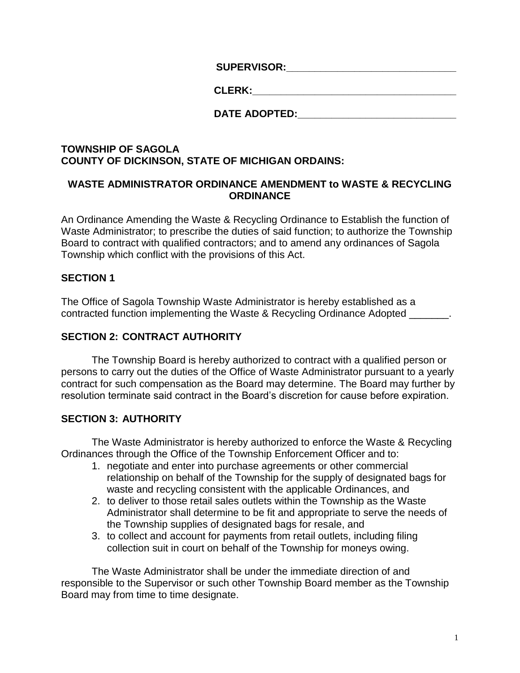**SUPERVISOR:** 

| <b>CLERK:</b> |  |
|---------------|--|
|               |  |

# **DATE ADOPTED:**

### **TOWNSHIP OF SAGOLA COUNTY OF DICKINSON, STATE OF MICHIGAN ORDAINS:**

### **WASTE ADMINISTRATOR ORDINANCE AMENDMENT to WASTE & RECYCLING ORDINANCE**

An Ordinance Amending the Waste & Recycling Ordinance to Establish the function of Waste Administrator; to prescribe the duties of said function; to authorize the Township Board to contract with qualified contractors; and to amend any ordinances of Sagola Township which conflict with the provisions of this Act.

# **SECTION 1**

The Office of Sagola Township Waste Administrator is hereby established as a contracted function implementing the Waste & Recycling Ordinance Adopted

# **SECTION 2: CONTRACT AUTHORITY**

The Township Board is hereby authorized to contract with a qualified person or persons to carry out the duties of the Office of Waste Administrator pursuant to a yearly contract for such compensation as the Board may determine. The Board may further by resolution terminate said contract in the Board's discretion for cause before expiration.

# **SECTION 3: AUTHORITY**

The Waste Administrator is hereby authorized to enforce the Waste & Recycling Ordinances through the Office of the Township Enforcement Officer and to:

- 1. negotiate and enter into purchase agreements or other commercial relationship on behalf of the Township for the supply of designated bags for waste and recycling consistent with the applicable Ordinances, and
- 2. to deliver to those retail sales outlets within the Township as the Waste Administrator shall determine to be fit and appropriate to serve the needs of the Township supplies of designated bags for resale, and
- 3. to collect and account for payments from retail outlets, including filing collection suit in court on behalf of the Township for moneys owing.

The Waste Administrator shall be under the immediate direction of and responsible to the Supervisor or such other Township Board member as the Township Board may from time to time designate.